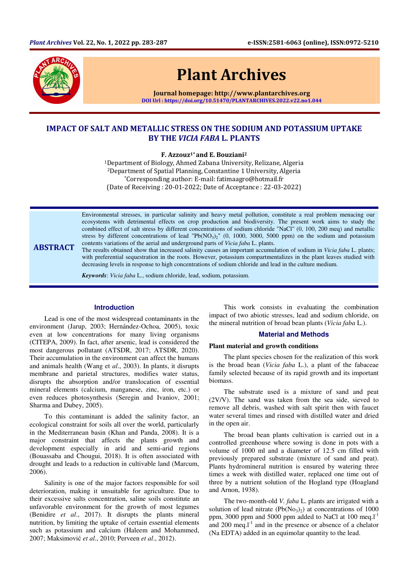

# Plant Archives

Journal homepage: http://www.plantarchives.org DOI Url : https://doi.org/10.51470/PLANTARCHIVES.2022.v22.no1.044

# IMPACT OF SALT AND METALLIC STRESS ON THE SODIUM AND POTASSIUM UPTAKE BY THE VICIA FABA L. PLANTS

 $F. Azzouz<sup>1*</sup> and E. Bouziani<sup>2</sup>$ 

<sup>1</sup>Department of Biology, Ahmed Zabana University, Relizane, Algeria <sup>2</sup>Department of Spatial Planning, Constantine 1 University, Algeria \*Corresponding author: E-mail: fatimaagro@hotmail.fr (Date of Receiving : 20-01-2022; Date of Acceptance : 22-03-2022)

Environmental stresses, in particular salinity and heavy metal pollution, constitute a real problem menacing our ecosystems with detrimental effects on crop production and biodiversity. The present work aims to study the combined effect of salt stress by different concentrations of sodium chloride "NaCl" (0, 100, 200 meq) and metallic stress by different concentrations of lead "Pb( $NO<sub>3</sub>$ )<sub>2</sub>" (0, 1000, 3000, 5000 ppm) on the sodium and potassium contents variations of the aerial and underground parts of *Vicia faba* L. plants.

ABSTRACT The results obtained show that increased salinity causes an important accumulation of sodium in *Vicia faba* L. plants; with preferential sequestration in the roots. However, potassium compartmentalizes in the plant leaves studied with decreasing levels in response to high concentrations of sodium chloride and lead in the culture medium.

*Keywords*: *Vicia faba* L., sodium chloride, lead, sodium, potassium.

#### **Introduction**

Lead is one of the most widespread contaminants in the environment (Jarup, 2003; Hernández-Ochoa, 2005), toxic even at low concentrations for many living organisms (CITEPA, 2009). In fact, after arsenic, lead is considered the most dangerous pollutant (ATSDR, 2017; ATSDR, 2020). Their accumulation in the environment can affect the humans and animals health (Wang et *al*., 2003). In plants, it disrupts membrane and parietal structures, modifies water status, disrupts the absorption and/or translocation of essential mineral elements (calcium, manganese, zinc, iron, etc.) or even reduces photosynthesis (Seregin and Ivaniov, 2001; Sharma and Dubey, 2005).

To this contaminant is added the salinity factor, an ecological constraint for soils all over the world, particularly in the Mediterranean basin (Khan and Panda, 2008). It is a major constraint that affects the plants growth and development especially in arid and semi-arid regions (Bouassaba and Chougui, 2018). It is often associated with drought and leads to a reduction in cultivable land (Marcum, 2006).

Salinity is one of the major factors responsible for soil deterioration, making it unsuitable for agriculture. Due to their excessive salts concentration, saline soils constitute an unfavorable environment for the growth of most legumes (Benidire *et al*., 2017). It disrupts the plants mineral nutrition, by limiting the uptake of certain essential elements such as potassium and calcium (Haleem and Mohammed, 2007; Maksimović *et al*., 2010; Perveen *et al*., 2012).

This work consists in evaluating the combination impact of two abiotic stresses, lead and sodium chloride, on the mineral nutrition of broad bean plants (*Vicia faba* L.).

#### **Material and Methods**

#### **Plant material and growth conditions**

The plant species chosen for the realization of this work is the broad bean (*Vicia faba* L.), a plant of the fabaceae family selected because of its rapid growth and its important biomass.

The substrate used is a mixture of sand and peat (2V/V). The sand was taken from the sea side, sieved to remove all debris, washed with salt spirit then with faucet water several times and rinsed with distilled water and dried in the open air.

The broad bean plants cultivation is carried out in a controlled greenhouse where sowing is done in pots with a volume of 1000 ml and a diameter of 12.5 cm filled with previously prepared substrate (mixture of sand and peat). Plants hydromineral nutrition is ensured by watering three times a week with distilled water, replaced one time out of three by a nutrient solution of the Hogland type (Hoagland and Arnon, 1938).

The two-month-old *V. faba* L. plants are irrigated with a solution of lead nitrate  $(Pb(No<sub>3</sub>)<sub>2</sub>)$  at concentrations of 1000 ppm, 3000 ppm and 5000 ppm added to NaCl at  $100 \text{ meq.} l^{\text{-}1}$ and  $200 \text{ meg.}l^{-1}$  and in the presence or absence of a chelator (Na EDTA) added in an equimolar quantity to the lead.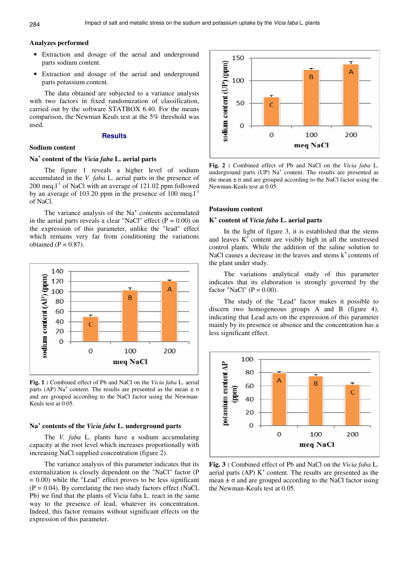## **Analyzes performed**

- Extraction and dosage of the aerial and underground parts sodium content.
- Extraction and dosage of the aerial and underground parts potassium content.

The data obtained are subjected to a variance analysis with two factors in fixed randomization of classification, carried out by the software STATBOX 6.40. For the means comparison, the Newman Keuls test at the 5% threshold was used.

## **Results**

## **Sodium content**

# **Na<sup>+</sup> content of the** *Vicia faba* **L. aerial parts**

The figure 1 reveals a higher level of sodium accumulated in the *V. faba* L. aerial parts in the presence of  $200 \text{ meq.}$  T<sup>-1</sup> of NaCl with an average of 121.02 ppm followed by an average of 103.20 ppm in the presence of 100 meg. $l^{-1}$ of NaCl.

The variance analysis of the  $Na<sup>+</sup>$  contents accumulated in the aerial parts reveals a clear "NaCl" effect  $(P = 0.00)$  on the expression of this parameter, unlike the "lead" effect which remains very far from conditioning the variations obtained  $(P = 0.87)$ .



**Fig. 1 :** Combined effect of Pb and NaCl on the *Vicia faba* L. aerial parts (AP) Na<sup>+</sup> content. The results are presented as the mean  $\pm \sigma$ and are grouped according to the NaCl factor using the Newman-Keuls test at 0.05.

# **Na<sup>+</sup> contents of the** *Vicia faba* **L. underground parts**

The *V. faba* L. plants have a sodium accumulating capacity at the root level which increases proportionally with increasing NaCl supplied concentration (figure 2).

The variance analysis of this parameter indicates that its externalization is closely dependent on the "NaCl" factor (P  $= 0.00$ ) while the "Lead" effect proves to be less significant  $(P = 0.04)$ . By correlating the two study factors effect (NaCl, Pb) we find that the plants of Vicia faba L. react in the same way to the presence of lead, whatever its concentration. Indeed, this factor remains without significant effects on the expression of this parameter.



**Fig. 2 :** Combined effect of Pb and NaCl on the *Vicia faba* L. underground parts (UP) Na<sup>+</sup> content. The results are presented as the mean  $\pm \sigma$  and are grouped according to the NaCl factor using the Newman-Keuls test at 0.05.

#### **Potassium content**

# **K + content of** *Vicia faba* **L. aerial parts**

In the light of figure 3, it is established that the stems and leaves  $K^+$  content are visibly high in all the unstressed control plants. While the addition of the saline solution to NaCl causes a decrease in the leaves and stems  $k^+$  contents of the plant under study.

The variations analytical study of this parameter indicates that its elaboration is strongly governed by the factor "NaCl" ( $P = 0.00$ ).

The study of the "Lead" factor makes it possible to discern two homogeneous groups A and B (figure 4), indicating that Lead acts on the expression of this parameter mainly by its presence or absence and the concentration has a less significant effect.



**Fig. 3 :** Combined effect of Pb and NaCl on the *Vicia faba* L. aerial parts (AP)  $K^+$  content. The results are presented as the mean  $\pm \sigma$  and are grouped according to the NaCl factor using the Newman-Keuls test at 0.05.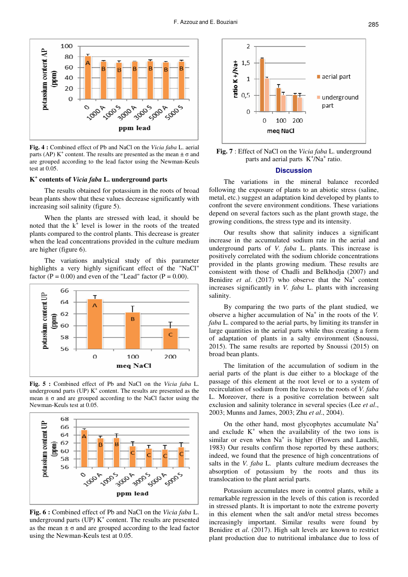

**Fig. 4 :** Combined effect of Pb and NaCl on the *Vicia faba* L. aerial parts (AP) K<sup>+</sup> content. The results are presented as the mean  $\pm \sigma$  and are grouped according to the lead factor using the Newman-Keuls test at 0.05.

# **K + contents of** *Vicia faba* **L. underground parts**

The results obtained for potassium in the roots of broad bean plants show that these values decrease significantly with increasing soil salinity (figure 5).

When the plants are stressed with lead, it should be noted that the  $k^{\dagger}$  level is lower in the roots of the treated plants compared to the control plants. This decrease is greater when the lead concentrations provided in the culture medium are higher (figure 6).

The variations analytical study of this parameter highlights a very highly significant effect of the "NaCl" factor ( $P = 0.00$ ) and even of the "Lead" factor ( $P = 0.00$ ).



**Fig. 5 :** Combined effect of Pb and NaCl on the *Vicia faba* L. underground parts (UP)  $K^+$  content. The results are presented as the mean  $\pm$   $\sigma$  and are grouped according to the NaCl factor using the Newman-Keuls test at 0.05.



**Fig. 6 :** Combined effect of Pb and NaCl on the *Vicia faba* L. underground parts (UP)  $K^+$  content. The results are presented as the mean  $\pm \sigma$  and are grouped according to the lead factor using the Newman-Keuls test at 0.05.



**Fig. 7** : Effect of NaCl on the *Vicia faba* L. underground parts and aerial parts  $K^+/Na^+$  ratio.

#### **Discussion**

The variations in the mineral balance recorded following the exposure of plants to an abiotic stress (saline, metal, etc.) suggest an adaptation kind developed by plants to confront the severe environment conditions. These variations depend on several factors such as the plant growth stage, the growing conditions, the stress type and its intensity.

Our results show that salinity induces a significant increase in the accumulated sodium rate in the aerial and underground parts of *V. faba* L. plants. This increase is positively correlated with the sodium chloride concentrations provided in the plants growing medium. These results are consistent with those of Chadli and Belkhodja (2007) and Benidire *et al.* (2017) who observe that the  $Na<sup>+</sup>$  content increases significantly in *V. faba* L. plants with increasing salinity.

By comparing the two parts of the plant studied, we observe a higher accumulation of Na<sup>+</sup> in the roots of the *V*. *faba* L. compared to the aerial parts, by limiting its transfer in large quantities in the aerial parts while thus creating a form of adaptation of plants in a salty environment (Snoussi, 2015). The same results are reported by Snoussi (2015) on broad bean plants.

The limitation of the accumulation of sodium in the aerial parts of the plant is due either to a blockage of the passage of this element at the root level or to a system of recirculation of sodium from the leaves to the roots of *V. faba* L. Moreover, there is a positive correlation between salt exclusion and salinity tolerance in several species (Lee *et al*., 2003; Munns and James, 2003; Zhu *et al*., 2004).

On the other hand, most glycophytes accumulate Na<sup>+</sup> and exclude  $K^+$  when the availability of the two ions is similar or even when  $Na<sup>+</sup>$  is higher (Flowers and Lauchli, 1983) Our results confirm those reported by these authors; indeed, we found that the presence of high concentrations of salts in the *V. faba* L. plants culture medium decreases the absorption of potassium by the roots and thus its translocation to the plant aerial parts.

Potassium accumulates more in control plants, while a remarkable regression in the levels of this cation is recorded in stressed plants. It is important to note the extreme poverty in this element when the salt and/or metal stress becomes increasingly important. Similar results were found by Benidire et *al*. (2017). High salt levels are known to restrict plant production due to nutritional imbalance due to loss of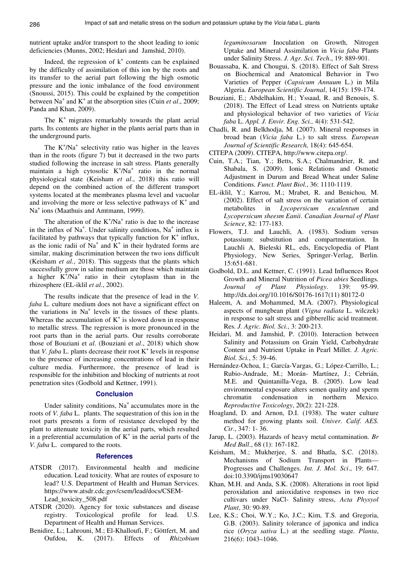nutrient uptake and/or transport to the shoot leading to ionic deficiencies (Munns, 2002; Heidari and Jamshid, 2010).

Indeed, the regression of  $k^+$  contents can be explained by the difficulty of assimilation of this ion by the roots and its transfer to the aerial part following the high osmotic pressure and the ionic imbalance of the food environment (Snoussi, 2015). This could be explained by the competition between Na<sup>+</sup> and K<sup>+</sup> at the absorption sites (Cuin *et al.*, 2009; Panda and Khan, 2009).

The  $K^+$  migrates remarkably towards the plant aerial parts. Its contents are higher in the plants aerial parts than in the underground parts.

The  $K^+/Na^+$  selectivity ratio was higher in the leaves than in the roots (figure 7) but it decreased in the two parts studied following the increase in salt stress. Plants generally maintain a high cytosolic  $K^+/Na^+$  ratio in the normal physiological state (Keisham *et al*., 2018) this ratio will depend on the combined action of the different transport systems located at the membranes plasma level and vacuolar and involving the more or less selective pathways of  $K^+$  and Na<sup>+</sup> ions (Maathuis and Amtmann, 1999).

The alteration of the  $K^+/Na^+$  ratio is due to the increase in the influx of  $Na^+$ . Under salinity conditions,  $Na^+$  influx is facilitated by pathways that typically function for  $K^+$  influx, as the ionic radii of  $Na^+$  and  $K^+$  in their hydrated forms are similar, making discrimination between the two ions difficult (Keisham *et al.*, 2018). This suggests that the plants which successfully grow in saline medium are those which maintain a higher  $K^{+}/Na^{+}$  ratio in their cytoplasm than in the rhizosphere (EL-iklil *et al*., 2002).

The results indicate that the presence of lead in the *V. faba* L. culture medium does not have a significant effect on the variations in  $Na<sup>+</sup>$  levels in the tissues of these plants. Whereas the accumulation of  $K^+$  is slowed down in response to metallic stress. The regression is more pronounced in the root parts than in the aerial parts. Our results corroborate those of Bouziani et *al*. (Bouziani et *al*., 2018) which show that *V. faba* L. plants decrease their root  $K^+$  levels in response to the presence of increasing concentrations of lead in their culture media. Furthermore, the presence of lead is responsible for the inhibition and blocking of nutrients at root penetration sites (Godbold and Kettner, 1991).

## **Conclusion**

Under salinity conditions,  $Na<sup>+</sup>$  accumulates more in the roots of *V. faba* L. plants. The sequestration of this ion in the root parts presents a form of resistance developed by the plant to attenuate toxicity in the aerial parts, which resulted in a preferential accumulation of  $K^+$  in the aerial parts of the *V. faba* L. compared to the roots.

## **References**

- ATSDR (2017). Environmental health and medicine education. Lead toxicity. What are routes of exposure to lead? U.S. Department of Health and Human Services. https://www.atsdr.cdc.gov/csem/lead/docs/CSEM-Lead\_toxicity\_508.pdf
- ATSDR (2020). Agency for toxic substances and disease registry. Toxicological profile for lead. U.S. Department of Health and Human Services.
- Benidire, L.; Lahrouni, M.; El-Khalloufi, F.; Göttfert, M. and Oufdou, K. (2017). Effects of *Rhizobium*

*leguminosarum* Inoculation on Growth, Nitrogen Uptake and Mineral Assimilation in *Vicia faba* Plants under Salinity Stress. *J. Agr. Sci. Tech*., 19: 889-901.

- Bouassaba, K. and Chougui, S. (2018). Effect of Salt Stress on Biochemical and Anatomical Behavior in Two Varieties of Pepper (*Capsicum Annuum* L.) in Mila Algeria. *European Scientific Journal*, 14(15): 159-174.
- Bouziani, E.; Abdelhakim, H.; Yssaad, R. and Benouis, S. (2018). The Effect of Lead stress on Nutrients uptake and physiological behavior of two varieties of *Vicia faba* L. *Appl. J. Envir. Eng. Sci.,* 4(4): 531-542.
- Chadli, R. and Belkhodja, M. (2007). Mineral responses in broad bean (*Vicia faba* L.) to salt stress. *European Journal of Scientific Research,* 18(4): 645-654.
- CITEPA (2009). CITEPA, http://www.citepa.org/.
- Cuin, T.A.; Tian, Y.; Betts, S.A.; Chalmandrier, R. and Shabala, S. (2009). Ionic Relations and Osmotic Adjustment in Durum and Bread Wheat under Saline Conditions. *Funct. Plant Biol.*, 36: 1110-1119.
- EL-iklil, Y.; Karrou, M.; Mrabet, R. and Benichou, M. (2002). Effect of salt stress on the variation of certain metabolites in *Lycopersicum esculentum* and *Lycopersicum sheesm Eanii*. *Canadian Journal of Plant Science*, 82: 177-183.
- Flowers, T.J. and Lauchli, A. (1983). Sodium versus potassium: substitution and compartmentation. In Lauchli A, Bieleski RL, eds, Encyclopedia of Plant Physiology, New Series, Springer-Verlag, Berlin. 15:651-681.
- Godbold, D.L. and Kettner, C. (1991). Lead Influences Root Growth and Mineral Nutrition of *Picea abies* Seedlings. *Journal of Plant Physiology*. 139: 95-99. http://dx.doi.org/10.1016/S0176-1617(11) 80172-0
- Haleem, A. and Mohammed, M.A. (2007). Physiological aspects of mungbean plant (*Vigna radiata* L. wilczek) in response to salt stress and gibberellic acid treatment. Res. *J. Agric. Biol. Sci*., 3: 200-213.
- Heidari, M. and Jamshid, P. (2010). Interaction between Salinity and Potassium on Grain Yield, Carbohydrate Content and Nutrient Uptake in Pearl Millet. *J. Agric. Biol. Sci.*, 5: 39-46.
- Hernández-Ochoa, I.; García-Vargas, G.; López-Carrillo, L.; Rubio-Andrade, M.; Morán- Martínez, J.; Cebrián, M.E. and Quintanilla-Vega, B. (2005). Low lead environmental exposure alters semen quality and sperm chromatin condensation in northern Mexico. *Reproductive Toxicology*, 20(2): 221-228.
- Hoagland, D. and Arnon, D.I. (1938). The water culture method for growing plants soil. *Univer. Calif. AES. Cir*., 347: 1- 36.
- Jarup, L. (2003). Hazards of heavy metal contamination. *Br Med Bull*., 68 (1): 167-182.
- Keisham, M.; Mukherjee, S. and Bhatla, S.C. (2018). Mechanisms of Sodium Transport in Plants— Progresses and Challenges. *Int. J. Mol. Sci*., 19: 647. doi:10.3390/ijms19030647
- Khan, M.H. and Anda, S.K. (2008). Alterations in root lipid peroxidation and anioxidative responses in two rice cultivars under NaCl- Salinity stress, *Acta Physyol Plant*, 30: 90-89.
- Lee, K.S.; Choi, W.Y.; Ko, J.C.; Kim, T.S. and Gregoria, G.B. (2003). Salinity tolerance of japonica and indica rice (*Oryza sativa* L.) at the seedling stage. *Planta*, 216(6): 1043–1046.